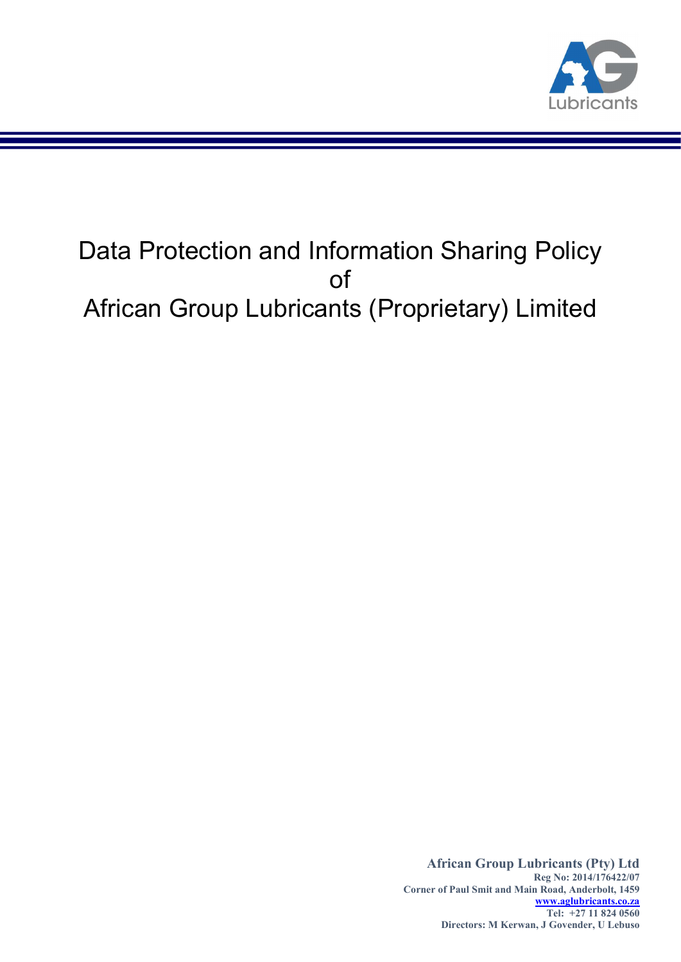

# Data Protection and Information Sharing Policy of African Group Lubricants (Proprietary) Limited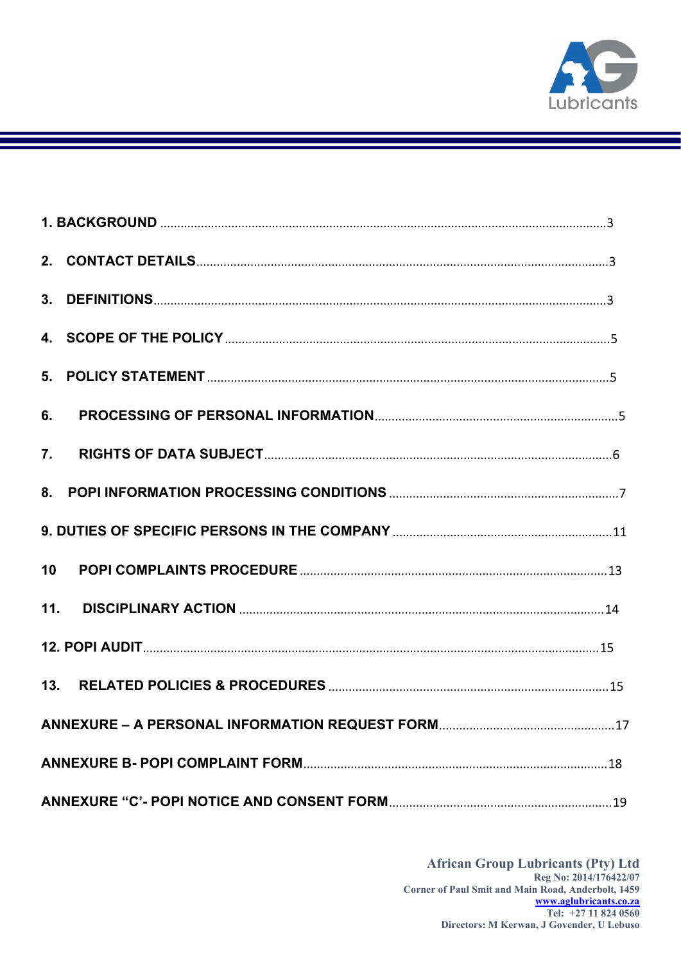

| 6.               |  |
|------------------|--|
| $\overline{7}$ . |  |
|                  |  |
|                  |  |
| 10               |  |
| 11.              |  |
|                  |  |
| 13.              |  |
|                  |  |
|                  |  |
|                  |  |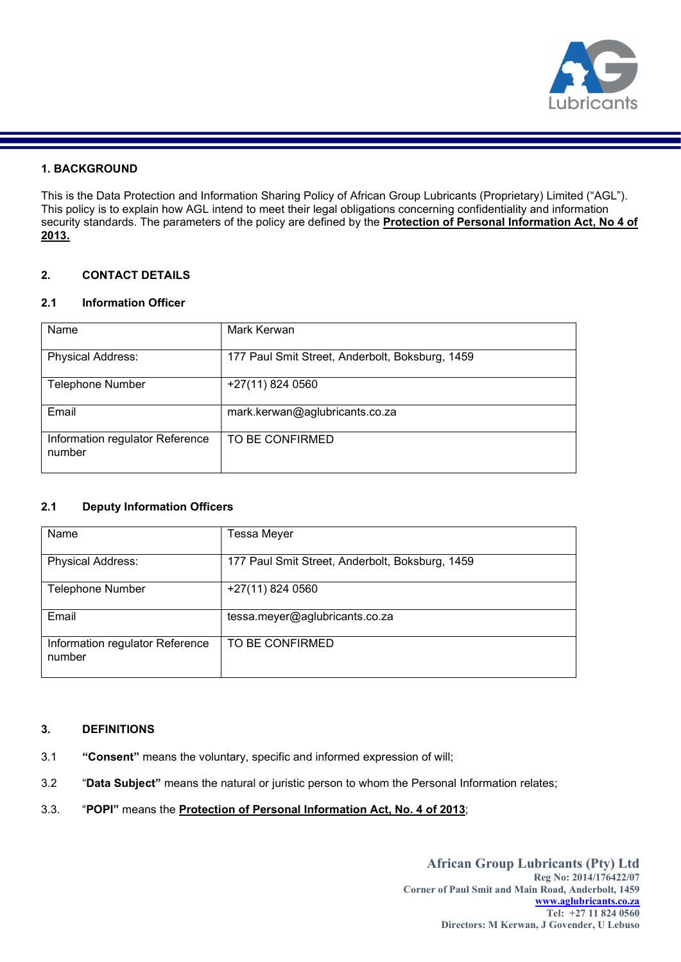

# 1. BACKGROUND

This is the Data Protection and Information Sharing Policy of African Group Lubricants (Proprietary) Limited ("AGL"). This policy is to explain how AGL intend to meet their legal obligations concerning confidentiality and information security standards. The parameters of the policy are defined by the **Protection of Personal Information Act, No 4 of** 2013.

# 2. CONTACT DETAILS

# 2.1 Information Officer

| Name                                      | Mark Kerwan                                     |
|-------------------------------------------|-------------------------------------------------|
| <b>Physical Address:</b>                  | 177 Paul Smit Street, Anderbolt, Boksburg, 1459 |
| <b>Telephone Number</b>                   | +27(11) 824 0560                                |
| Email                                     | mark.kerwan@aglubricants.co.za                  |
| Information regulator Reference<br>number | TO BE CONFIRMED                                 |

# 2.1 Deputy Information Officers

| Name                                      | Tessa Meyer                                     |
|-------------------------------------------|-------------------------------------------------|
| <b>Physical Address:</b>                  | 177 Paul Smit Street, Anderbolt, Boksburg, 1459 |
| <b>Telephone Number</b>                   | +27(11) 824 0560                                |
| Email                                     | tessa.meyer@aglubricants.co.za                  |
| Information regulator Reference<br>number | TO BE CONFIRMED                                 |

### 3. DEFINITIONS

- 3.1 "Consent" means the voluntary, specific and informed expression of will;
- 3.2 "Data Subject" means the natural or juristic person to whom the Personal Information relates;
- 3.3. "POPI" means the Protection of Personal Information Act, No. 4 of 2013;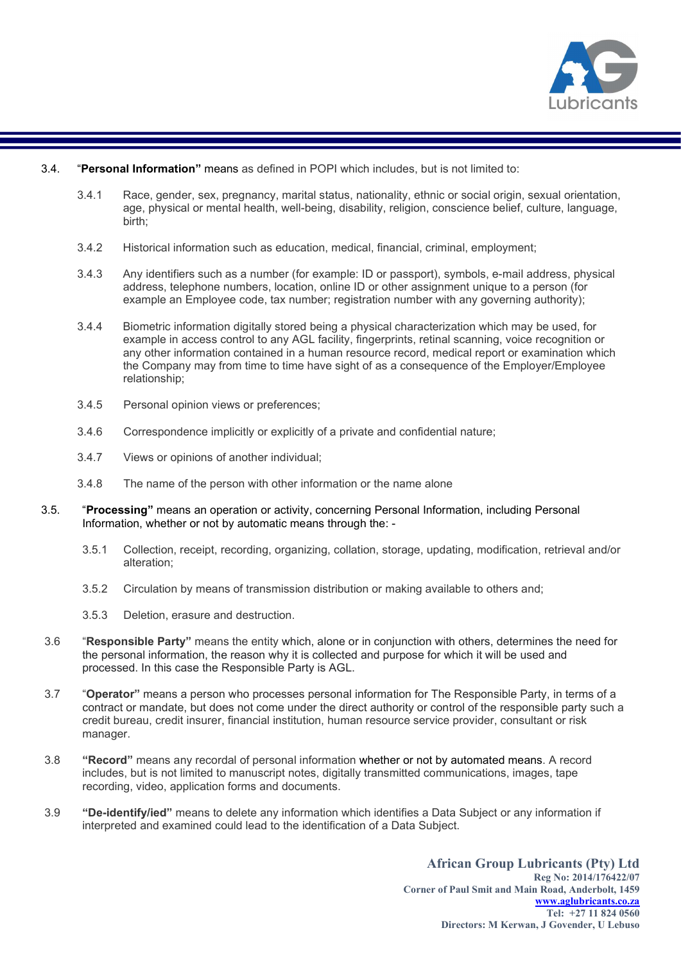

#### 3.4. "Personal Information" means as defined in POPI which includes, but is not limited to:

- 3.4.1 Race, gender, sex, pregnancy, marital status, nationality, ethnic or social origin, sexual orientation, age, physical or mental health, well-being, disability, religion, conscience belief, culture, language, birth;
- 3.4.2 Historical information such as education, medical, financial, criminal, employment;
- 3.4.3 Any identifiers such as a number (for example: ID or passport), symbols, e-mail address, physical address, telephone numbers, location, online ID or other assignment unique to a person (for example an Employee code, tax number; registration number with any governing authority);
- 3.4.4 Biometric information digitally stored being a physical characterization which may be used, for example in access control to any AGL facility, fingerprints, retinal scanning, voice recognition or any other information contained in a human resource record, medical report or examination which the Company may from time to time have sight of as a consequence of the Employer/Employee relationship;
- 3.4.5 Personal opinion views or preferences;
- 3.4.6 Correspondence implicitly or explicitly of a private and confidential nature;
- 3.4.7 Views or opinions of another individual;
- 3.4.8 The name of the person with other information or the name alone
- 3.5. "Processing" means an operation or activity, concerning Personal Information, including Personal Information, whether or not by automatic means through the: -
	- 3.5.1 Collection, receipt, recording, organizing, collation, storage, updating, modification, retrieval and/or alteration;
	- 3.5.2 Circulation by means of transmission distribution or making available to others and;
	- 3.5.3 Deletion, erasure and destruction.
- 3.6 "Responsible Party" means the entity which, alone or in conjunction with others, determines the need for the personal information, the reason why it is collected and purpose for which it will be used and processed. In this case the Responsible Party is AGL.
- 3.7 "Operator" means a person who processes personal information for The Responsible Party, in terms of a contract or mandate, but does not come under the direct authority or control of the responsible party such a credit bureau, credit insurer, financial institution, human resource service provider, consultant or risk manager.
- 3.8 "Record" means any recordal of personal information whether or not by automated means. A record includes, but is not limited to manuscript notes, digitally transmitted communications, images, tape recording, video, application forms and documents.
- 3.9 "De-identify/ied" means to delete any information which identifies a Data Subject or any information if interpreted and examined could lead to the identification of a Data Subject.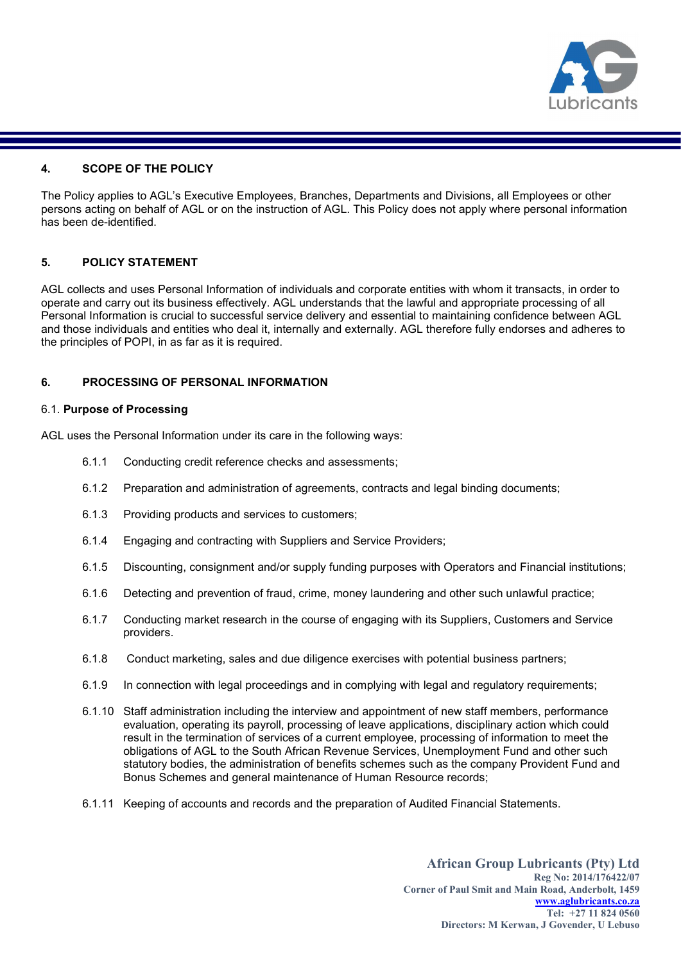

# 4. SCOPE OF THE POLICY

The Policy applies to AGL's Executive Employees, Branches, Departments and Divisions, all Employees or other persons acting on behalf of AGL or on the instruction of AGL. This Policy does not apply where personal information has been de-identified.

# 5. POLICY STATEMENT

AGL collects and uses Personal Information of individuals and corporate entities with whom it transacts, in order to operate and carry out its business effectively. AGL understands that the lawful and appropriate processing of all Personal Information is crucial to successful service delivery and essential to maintaining confidence between AGL and those individuals and entities who deal it, internally and externally. AGL therefore fully endorses and adheres to the principles of POPI, in as far as it is required.

# 6. PROCESSING OF PERSONAL INFORMATION

#### 6.1. Purpose of Processing

AGL uses the Personal Information under its care in the following ways:

- 6.1.1 Conducting credit reference checks and assessments;
- 6.1.2 Preparation and administration of agreements, contracts and legal binding documents;
- 6.1.3 Providing products and services to customers;
- 6.1.4 Engaging and contracting with Suppliers and Service Providers;
- 6.1.5 Discounting, consignment and/or supply funding purposes with Operators and Financial institutions;
- 6.1.6 Detecting and prevention of fraud, crime, money laundering and other such unlawful practice;
- 6.1.7 Conducting market research in the course of engaging with its Suppliers, Customers and Service providers.
- 6.1.8 Conduct marketing, sales and due diligence exercises with potential business partners;
- 6.1.9 In connection with legal proceedings and in complying with legal and regulatory requirements;
- 6.1.10 Staff administration including the interview and appointment of new staff members, performance evaluation, operating its payroll, processing of leave applications, disciplinary action which could result in the termination of services of a current employee, processing of information to meet the obligations of AGL to the South African Revenue Services, Unemployment Fund and other such statutory bodies, the administration of benefits schemes such as the company Provident Fund and Bonus Schemes and general maintenance of Human Resource records;
- 6.1.11 Keeping of accounts and records and the preparation of Audited Financial Statements.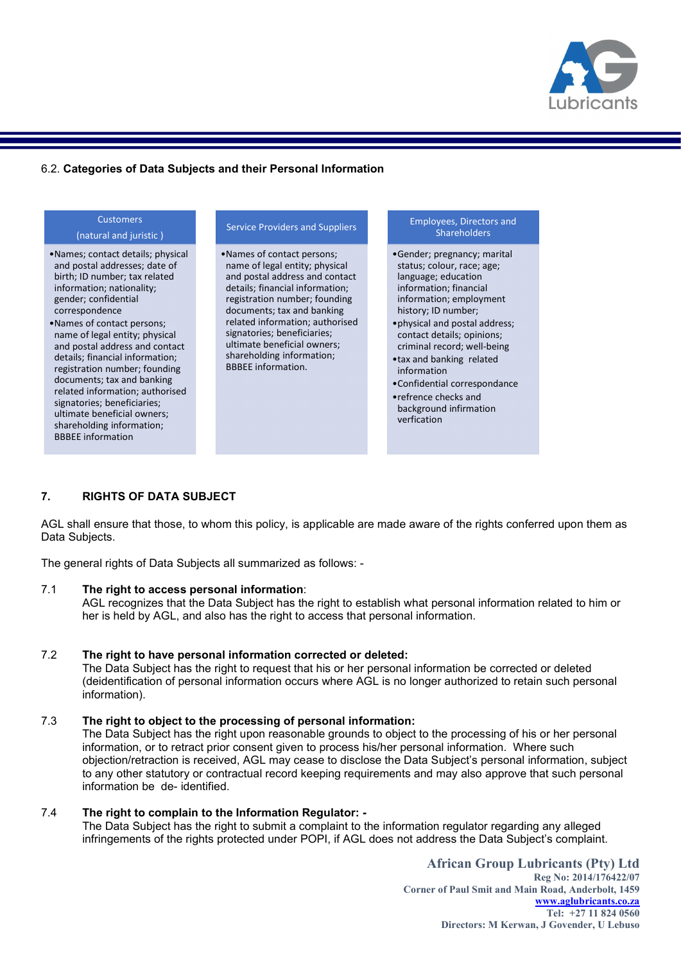

# 6.2. Categories of Data Subjects and their Personal Information

#### **Customers** (natural and juristic ) •Names; contact details; physical and postal addresses; date of birth; ID number; tax related information; nationality; gender; confidential correspondence •Names of contact persons; name of legal entity; physical and postal address and contact details; financial information; registration number; founding documents; tax and banking related information; authorised signatories; beneficiaries; ultimate beneficial owners; shareholding information; BBBEE information Service Providers and Suppliers •Names of contact persons; name of legal entity; physical and postal address and contact details; financial information; registration number; founding documents; tax and banking related information; authorised signatories; beneficiaries; ultimate beneficial owners; shareholding information; BBBEE information. Employees, Directors and **Shareholders** •Gender; pregnancy; marital status; colour, race; age; language; education information; financial information; employment history; ID number; •physical and postal address; contact details; opinions; criminal record; well-being •tax and banking related information •Confidential correspondance •refrence checks and background infirmation verfication

# 7. RIGHTS OF DATA SUBJECT

AGL shall ensure that those, to whom this policy, is applicable are made aware of the rights conferred upon them as Data Subjects.

The general rights of Data Subjects all summarized as follows: -

#### 7.1 The right to access personal information:

AGL recognizes that the Data Subject has the right to establish what personal information related to him or her is held by AGL, and also has the right to access that personal information.

#### 7.2 The right to have personal information corrected or deleted:

The Data Subject has the right to request that his or her personal information be corrected or deleted (deidentification of personal information occurs where AGL is no longer authorized to retain such personal information).

#### 7.3 The right to object to the processing of personal information:

The Data Subject has the right upon reasonable grounds to object to the processing of his or her personal information, or to retract prior consent given to process his/her personal information. Where such objection/retraction is received, AGL may cease to disclose the Data Subject's personal information, subject to any other statutory or contractual record keeping requirements and may also approve that such personal information be de- identified.

# 7.4 The right to complain to the Information Regulator: -

The Data Subject has the right to submit a complaint to the information regulator regarding any alleged infringements of the rights protected under POPI, if AGL does not address the Data Subject's complaint.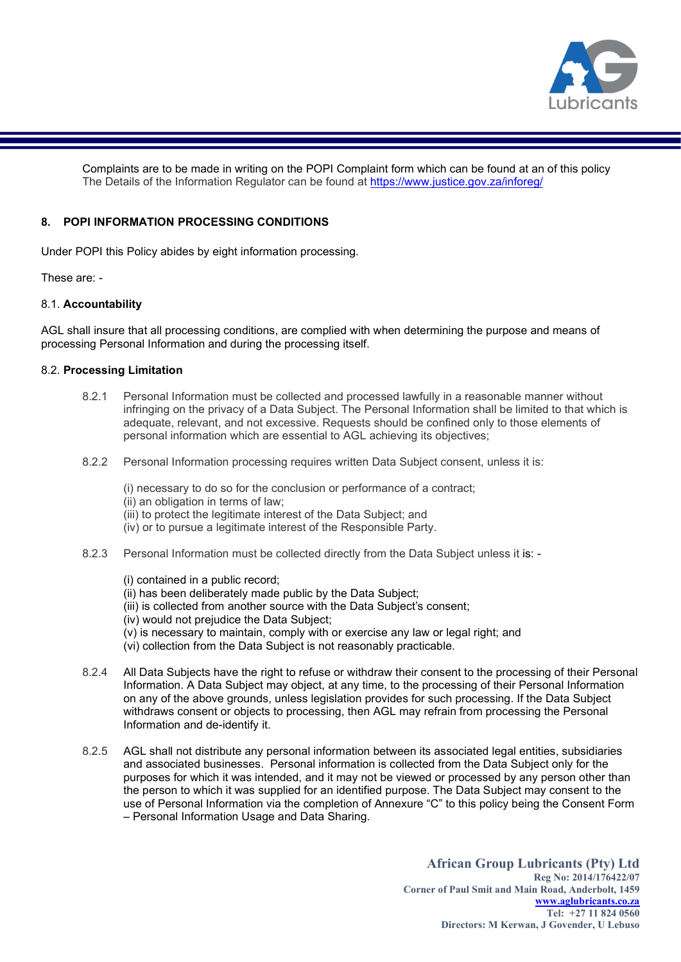

Complaints are to be made in writing on the POPI Complaint form which can be found at an of this policy The Details of the Information Regulator can be found at https://www.justice.gov.za/inforeg/

# 8. POPI INFORMATION PROCESSING CONDITIONS

Under POPI this Policy abides by eight information processing.

These are: -

# 8.1. Accountability

AGL shall insure that all processing conditions, are complied with when determining the purpose and means of processing Personal Information and during the processing itself.

# 8.2. Processing Limitation

- 8.2.1 Personal Information must be collected and processed lawfully in a reasonable manner without infringing on the privacy of a Data Subject. The Personal Information shall be limited to that which is adequate, relevant, and not excessive. Requests should be confined only to those elements of personal information which are essential to AGL achieving its objectives;
- 8.2.2 Personal Information processing requires written Data Subject consent, unless it is:

(i) necessary to do so for the conclusion or performance of a contract;

(ii) an obligation in terms of law;

(iii) to protect the legitimate interest of the Data Subject; and

- (iv) or to pursue a legitimate interest of the Responsible Party.
- 8.2.3 Personal Information must be collected directly from the Data Subject unless it is: -

(i) contained in a public record;

- (ii) has been deliberately made public by the Data Subject;
- (iii) is collected from another source with the Data Subject's consent;
- (iv) would not prejudice the Data Subject;
- $(y)$  is necessary to maintain, comply with or exercise any law or legal right; and
- (vi) collection from the Data Subject is not reasonably practicable.
- 8.2.4 All Data Subjects have the right to refuse or withdraw their consent to the processing of their Personal Information. A Data Subject may object, at any time, to the processing of their Personal Information on any of the above grounds, unless legislation provides for such processing. If the Data Subject withdraws consent or objects to processing, then AGL may refrain from processing the Personal Information and de-identify it.
- 8.2.5 AGL shall not distribute any personal information between its associated legal entities, subsidiaries and associated businesses. Personal information is collected from the Data Subject only for the purposes for which it was intended, and it may not be viewed or processed by any person other than the person to which it was supplied for an identified purpose. The Data Subject may consent to the use of Personal Information via the completion of Annexure "C" to this policy being the Consent Form – Personal Information Usage and Data Sharing.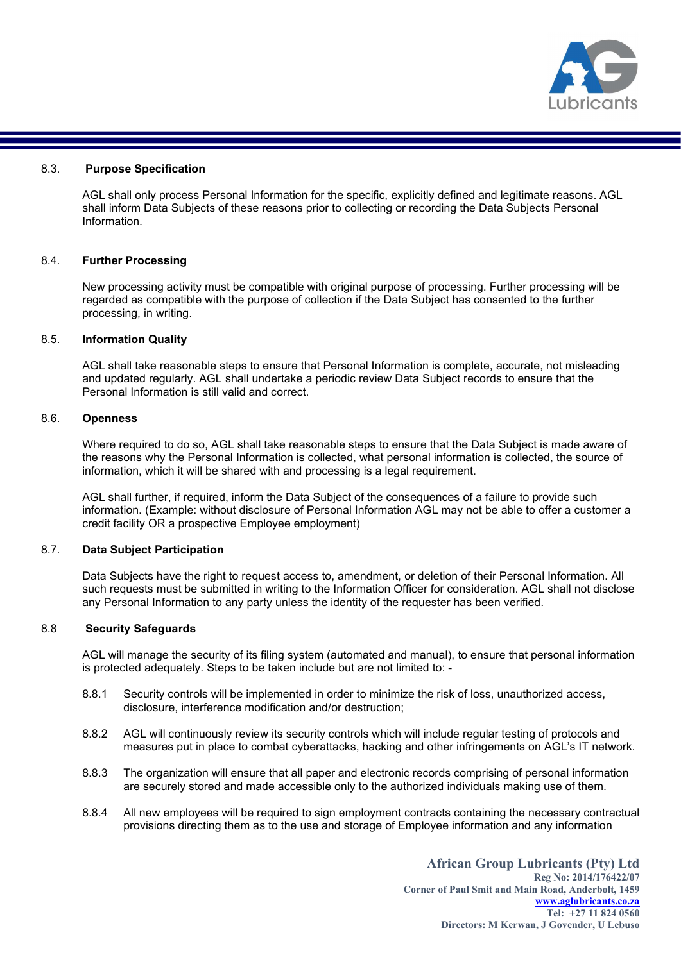

#### 8.3. Purpose Specification

AGL shall only process Personal Information for the specific, explicitly defined and legitimate reasons. AGL shall inform Data Subjects of these reasons prior to collecting or recording the Data Subjects Personal Information.

#### 8.4. Further Processing

New processing activity must be compatible with original purpose of processing. Further processing will be regarded as compatible with the purpose of collection if the Data Subject has consented to the further processing, in writing.

### 8.5. Information Quality

AGL shall take reasonable steps to ensure that Personal Information is complete, accurate, not misleading and updated regularly. AGL shall undertake a periodic review Data Subject records to ensure that the Personal Information is still valid and correct.

#### 8.6. Openness

Where required to do so, AGL shall take reasonable steps to ensure that the Data Subject is made aware of the reasons why the Personal Information is collected, what personal information is collected, the source of information, which it will be shared with and processing is a legal requirement.

AGL shall further, if required, inform the Data Subject of the consequences of a failure to provide such information. (Example: without disclosure of Personal Information AGL may not be able to offer a customer a credit facility OR a prospective Employee employment)

#### 8.7. Data Subject Participation

Data Subjects have the right to request access to, amendment, or deletion of their Personal Information. All such requests must be submitted in writing to the Information Officer for consideration. AGL shall not disclose any Personal Information to any party unless the identity of the requester has been verified.

#### 8.8 Security Safeguards

AGL will manage the security of its filing system (automated and manual), to ensure that personal information is protected adequately. Steps to be taken include but are not limited to: -

- 8.8.1 Security controls will be implemented in order to minimize the risk of loss, unauthorized access, disclosure, interference modification and/or destruction;
- 8.8.2 AGL will continuously review its security controls which will include regular testing of protocols and measures put in place to combat cyberattacks, hacking and other infringements on AGL's IT network.
- 8.8.3 The organization will ensure that all paper and electronic records comprising of personal information are securely stored and made accessible only to the authorized individuals making use of them.
- 8.8.4 All new employees will be required to sign employment contracts containing the necessary contractual provisions directing them as to the use and storage of Employee information and any information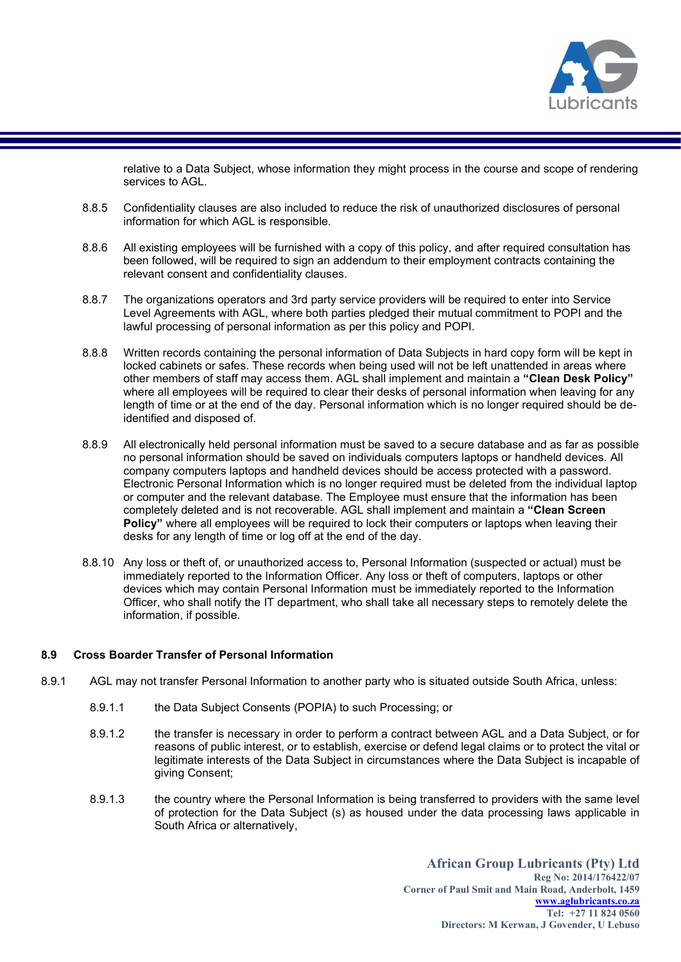

relative to a Data Subject, whose information they might process in the course and scope of rendering services to AGL.

- 8.8.5 Confidentiality clauses are also included to reduce the risk of unauthorized disclosures of personal information for which AGL is responsible.
- 8.8.6 All existing employees will be furnished with a copy of this policy, and after required consultation has been followed, will be required to sign an addendum to their employment contracts containing the relevant consent and confidentiality clauses.
- 8.8.7 The organizations operators and 3rd party service providers will be required to enter into Service Level Agreements with AGL, where both parties pledged their mutual commitment to POPI and the lawful processing of personal information as per this policy and POPI.
- 8.8.8 Written records containing the personal information of Data Subjects in hard copy form will be kept in locked cabinets or safes. These records when being used will not be left unattended in areas where other members of staff may access them. AGL shall implement and maintain a "Clean Desk Policy" where all employees will be required to clear their desks of personal information when leaving for any length of time or at the end of the day. Personal information which is no longer required should be deidentified and disposed of.
- 8.8.9 All electronically held personal information must be saved to a secure database and as far as possible no personal information should be saved on individuals computers laptops or handheld devices. All company computers laptops and handheld devices should be access protected with a password. Electronic Personal Information which is no longer required must be deleted from the individual laptop or computer and the relevant database. The Employee must ensure that the information has been completely deleted and is not recoverable. AGL shall implement and maintain a "Clean Screen Policy" where all employees will be required to lock their computers or laptops when leaving their desks for any length of time or log off at the end of the day.
- 8.8.10 Any loss or theft of, or unauthorized access to, Personal Information (suspected or actual) must be immediately reported to the Information Officer. Any loss or theft of computers, laptops or other devices which may contain Personal Information must be immediately reported to the Information Officer, who shall notify the IT department, who shall take all necessary steps to remotely delete the information, if possible.

#### 8.9 Cross Boarder Transfer of Personal Information

- 8.9.1 AGL may not transfer Personal Information to another party who is situated outside South Africa, unless:
	- 8.9.1.1 the Data Subject Consents (POPIA) to such Processing; or
	- 8.9.1.2 the transfer is necessary in order to perform a contract between AGL and a Data Subject, or for reasons of public interest, or to establish, exercise or defend legal claims or to protect the vital or legitimate interests of the Data Subject in circumstances where the Data Subject is incapable of giving Consent;
	- 8.9.1.3 the country where the Personal Information is being transferred to providers with the same level of protection for the Data Subject (s) as housed under the data processing laws applicable in South Africa or alternatively,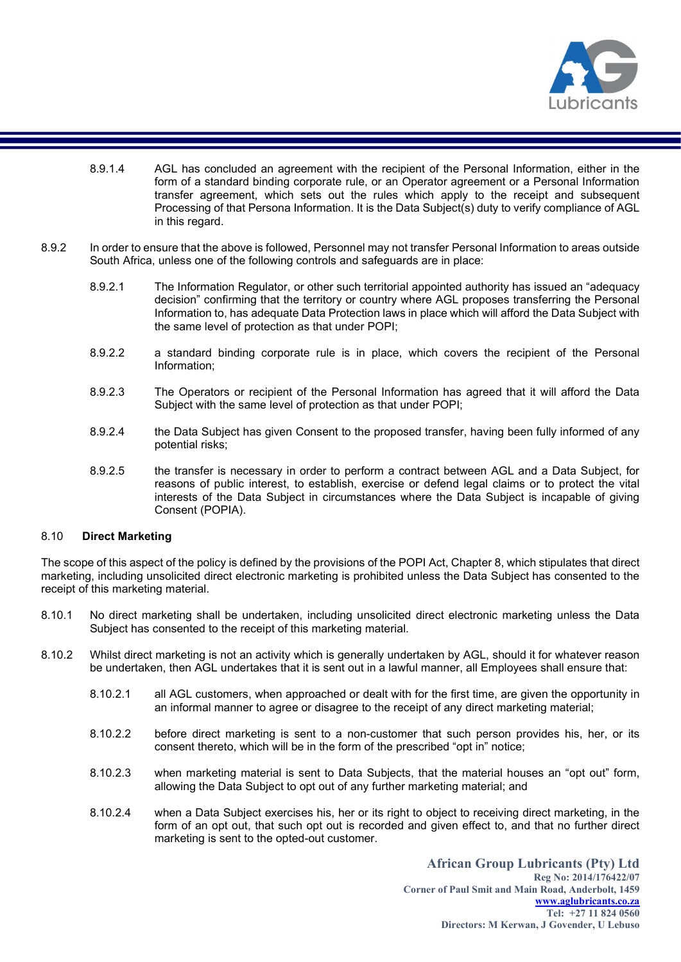

- 8.9.1.4 AGL has concluded an agreement with the recipient of the Personal Information, either in the form of a standard binding corporate rule, or an Operator agreement or a Personal Information transfer agreement, which sets out the rules which apply to the receipt and subsequent Processing of that Persona Information. It is the Data Subject(s) duty to verify compliance of AGL in this regard.
- 8.9.2 In order to ensure that the above is followed, Personnel may not transfer Personal Information to areas outside South Africa, unless one of the following controls and safeguards are in place:
	- 8.9.2.1 The Information Regulator, or other such territorial appointed authority has issued an "adequacy decision" confirming that the territory or country where AGL proposes transferring the Personal Information to, has adequate Data Protection laws in place which will afford the Data Subject with the same level of protection as that under POPI;
	- 8.9.2.2 a standard binding corporate rule is in place, which covers the recipient of the Personal Information;
	- 8.9.2.3 The Operators or recipient of the Personal Information has agreed that it will afford the Data Subject with the same level of protection as that under POPI;
	- 8.9.2.4 the Data Subject has given Consent to the proposed transfer, having been fully informed of any potential risks;
	- 8.9.2.5 the transfer is necessary in order to perform a contract between AGL and a Data Subject, for reasons of public interest, to establish, exercise or defend legal claims or to protect the vital interests of the Data Subject in circumstances where the Data Subject is incapable of giving Consent (POPIA).

#### 8.10 Direct Marketing

The scope of this aspect of the policy is defined by the provisions of the POPI Act, Chapter 8, which stipulates that direct marketing, including unsolicited direct electronic marketing is prohibited unless the Data Subject has consented to the receipt of this marketing material.

- 8.10.1 No direct marketing shall be undertaken, including unsolicited direct electronic marketing unless the Data Subject has consented to the receipt of this marketing material.
- 8.10.2 Whilst direct marketing is not an activity which is generally undertaken by AGL, should it for whatever reason be undertaken, then AGL undertakes that it is sent out in a lawful manner, all Employees shall ensure that:
	- 8.10.2.1 all AGL customers, when approached or dealt with for the first time, are given the opportunity in an informal manner to agree or disagree to the receipt of any direct marketing material;
	- 8.10.2.2 before direct marketing is sent to a non-customer that such person provides his, her, or its consent thereto, which will be in the form of the prescribed "opt in" notice;
	- 8.10.2.3 when marketing material is sent to Data Subjects, that the material houses an "opt out" form, allowing the Data Subject to opt out of any further marketing material; and
	- 8.10.2.4 when a Data Subject exercises his, her or its right to object to receiving direct marketing, in the form of an opt out, that such opt out is recorded and given effect to, and that no further direct marketing is sent to the opted-out customer.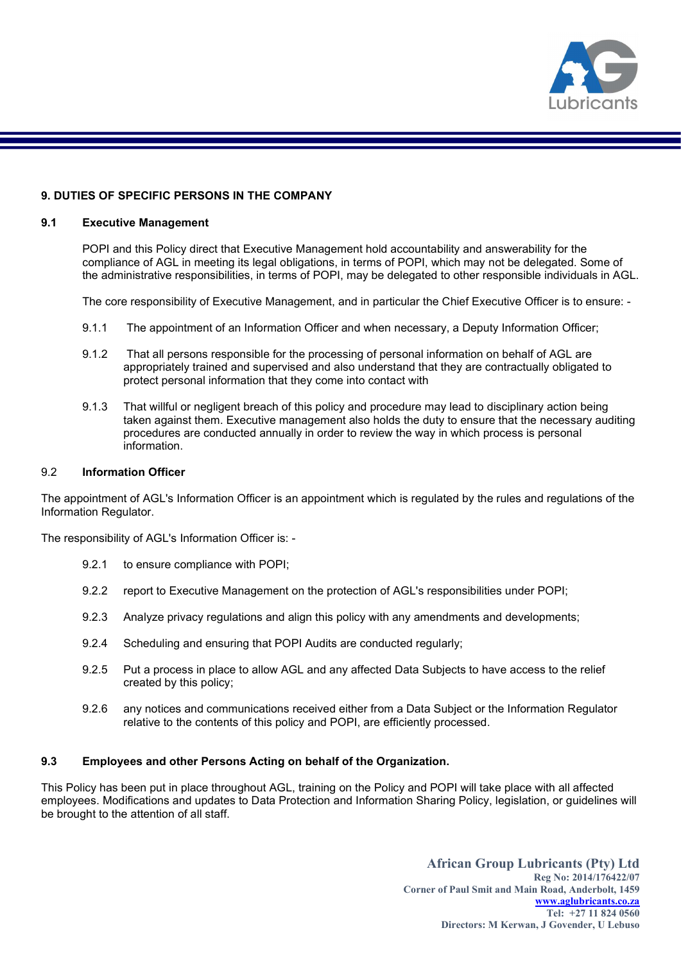

# 9. DUTIES OF SPECIFIC PERSONS IN THE COMPANY

#### 9.1 Executive Management

POPI and this Policy direct that Executive Management hold accountability and answerability for the compliance of AGL in meeting its legal obligations, in terms of POPI, which may not be delegated. Some of the administrative responsibilities, in terms of POPI, may be delegated to other responsible individuals in AGL.

The core responsibility of Executive Management, and in particular the Chief Executive Officer is to ensure: -

- 9.1.1 The appointment of an Information Officer and when necessary, a Deputy Information Officer;
- 9.1.2 That all persons responsible for the processing of personal information on behalf of AGL are appropriately trained and supervised and also understand that they are contractually obligated to protect personal information that they come into contact with
- 9.1.3 That willful or negligent breach of this policy and procedure may lead to disciplinary action being taken against them. Executive management also holds the duty to ensure that the necessary auditing procedures are conducted annually in order to review the way in which process is personal information.

#### 9.2 Information Officer

The appointment of AGL's Information Officer is an appointment which is regulated by the rules and regulations of the Information Regulator.

The responsibility of AGL's Information Officer is: -

- 9.2.1 to ensure compliance with POPI;
- 9.2.2 report to Executive Management on the protection of AGL's responsibilities under POPI;
- 9.2.3 Analyze privacy regulations and align this policy with any amendments and developments;
- 9.2.4 Scheduling and ensuring that POPI Audits are conducted regularly;
- 9.2.5 Put a process in place to allow AGL and any affected Data Subjects to have access to the relief created by this policy;
- 9.2.6 any notices and communications received either from a Data Subject or the Information Regulator relative to the contents of this policy and POPI, are efficiently processed.

#### 9.3 Employees and other Persons Acting on behalf of the Organization.

This Policy has been put in place throughout AGL, training on the Policy and POPI will take place with all affected employees. Modifications and updates to Data Protection and Information Sharing Policy, legislation, or guidelines will be brought to the attention of all staff.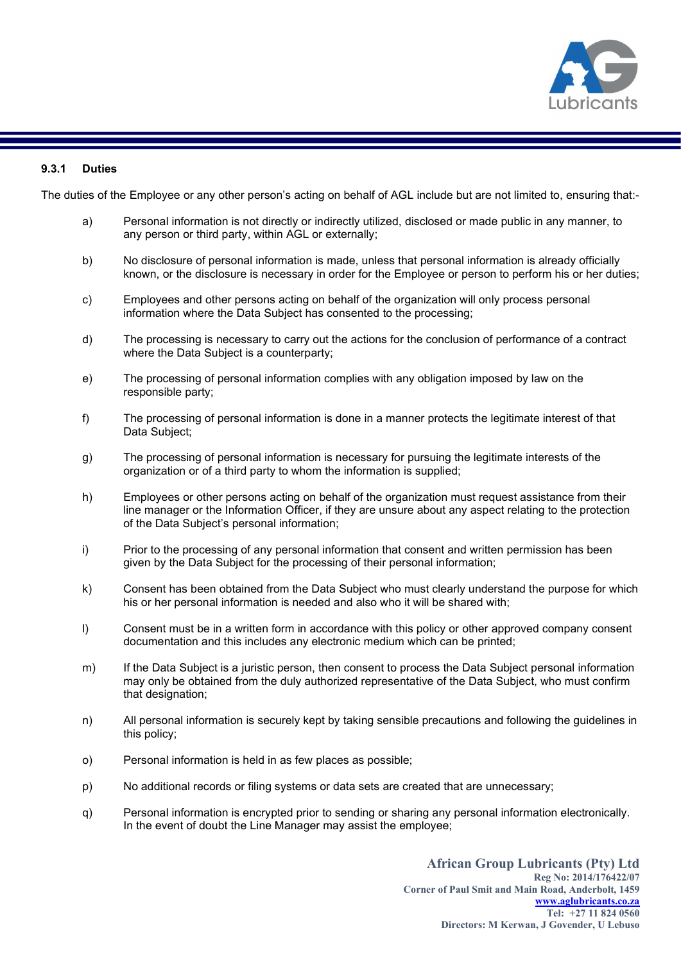

# 9.3.1 Duties

The duties of the Employee or any other person's acting on behalf of AGL include but are not limited to, ensuring that:-

- a) Personal information is not directly or indirectly utilized, disclosed or made public in any manner, to any person or third party, within AGL or externally;
- b) No disclosure of personal information is made, unless that personal information is already officially known, or the disclosure is necessary in order for the Employee or person to perform his or her duties;
- c) Employees and other persons acting on behalf of the organization will only process personal information where the Data Subject has consented to the processing;
- d) The processing is necessary to carry out the actions for the conclusion of performance of a contract where the Data Subject is a counterparty;
- e) The processing of personal information complies with any obligation imposed by law on the responsible party;
- f) The processing of personal information is done in a manner protects the legitimate interest of that Data Subject;
- g) The processing of personal information is necessary for pursuing the legitimate interests of the organization or of a third party to whom the information is supplied;
- h) Employees or other persons acting on behalf of the organization must request assistance from their line manager or the Information Officer, if they are unsure about any aspect relating to the protection of the Data Subject's personal information;
- i) Prior to the processing of any personal information that consent and written permission has been given by the Data Subject for the processing of their personal information;
- k) Consent has been obtained from the Data Subject who must clearly understand the purpose for which his or her personal information is needed and also who it will be shared with;
- l) Consent must be in a written form in accordance with this policy or other approved company consent documentation and this includes any electronic medium which can be printed;
- m) If the Data Subject is a juristic person, then consent to process the Data Subject personal information may only be obtained from the duly authorized representative of the Data Subject, who must confirm that designation;
- n) All personal information is securely kept by taking sensible precautions and following the guidelines in this policy;
- o) Personal information is held in as few places as possible;
- p) No additional records or filing systems or data sets are created that are unnecessary;
- q) Personal information is encrypted prior to sending or sharing any personal information electronically. In the event of doubt the Line Manager may assist the employee;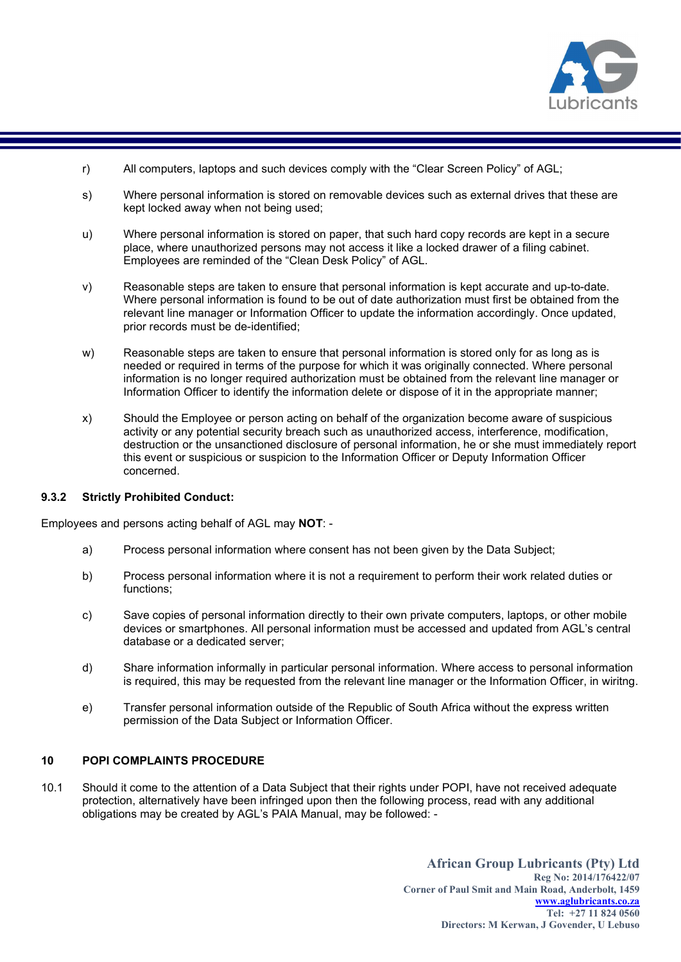

- r) All computers, laptops and such devices comply with the "Clear Screen Policy" of AGL;
- s) Where personal information is stored on removable devices such as external drives that these are kept locked away when not being used;
- u) Where personal information is stored on paper, that such hard copy records are kept in a secure place, where unauthorized persons may not access it like a locked drawer of a filing cabinet. Employees are reminded of the "Clean Desk Policy" of AGL.
- v) Reasonable steps are taken to ensure that personal information is kept accurate and up-to-date. Where personal information is found to be out of date authorization must first be obtained from the relevant line manager or Information Officer to update the information accordingly. Once updated, prior records must be de-identified;
- w) Reasonable steps are taken to ensure that personal information is stored only for as long as is needed or required in terms of the purpose for which it was originally connected. Where personal information is no longer required authorization must be obtained from the relevant line manager or Information Officer to identify the information delete or dispose of it in the appropriate manner;
- x) Should the Employee or person acting on behalf of the organization become aware of suspicious activity or any potential security breach such as unauthorized access, interference, modification, destruction or the unsanctioned disclosure of personal information, he or she must immediately report this event or suspicious or suspicion to the Information Officer or Deputy Information Officer concerned.

#### 9.3.2 Strictly Prohibited Conduct:

Employees and persons acting behalf of AGL may NOT: -

- a) Process personal information where consent has not been given by the Data Subject;
- b) Process personal information where it is not a requirement to perform their work related duties or functions;
- c) Save copies of personal information directly to their own private computers, laptops, or other mobile devices or smartphones. All personal information must be accessed and updated from AGL's central database or a dedicated server;
- d) Share information informally in particular personal information. Where access to personal information is required, this may be requested from the relevant line manager or the Information Officer, in wiritng.
- e) Transfer personal information outside of the Republic of South Africa without the express written permission of the Data Subject or Information Officer.

# 10 POPI COMPLAINTS PROCEDURE

10.1 Should it come to the attention of a Data Subject that their rights under POPI, have not received adequate protection, alternatively have been infringed upon then the following process, read with any additional obligations may be created by AGL's PAIA Manual, may be followed: -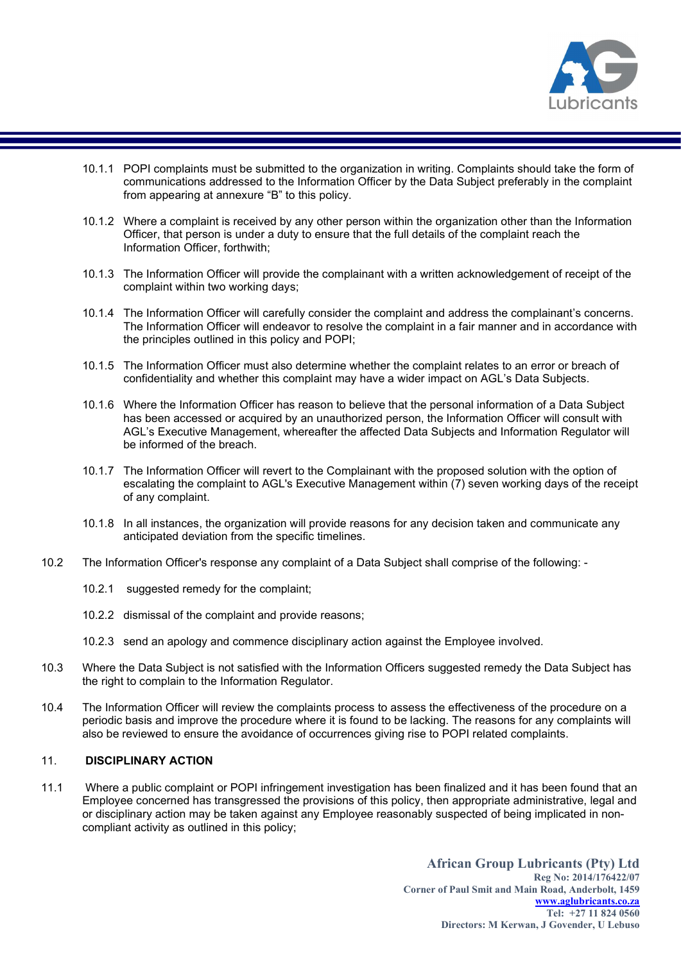

- 10.1.1 POPI complaints must be submitted to the organization in writing. Complaints should take the form of communications addressed to the Information Officer by the Data Subject preferably in the complaint from appearing at annexure "B" to this policy.
- 10.1.2 Where a complaint is received by any other person within the organization other than the Information Officer, that person is under a duty to ensure that the full details of the complaint reach the Information Officer, forthwith;
- 10.1.3 The Information Officer will provide the complainant with a written acknowledgement of receipt of the complaint within two working days;
- 10.1.4 The Information Officer will carefully consider the complaint and address the complainant's concerns. The Information Officer will endeavor to resolve the complaint in a fair manner and in accordance with the principles outlined in this policy and POPI;
- 10.1.5 The Information Officer must also determine whether the complaint relates to an error or breach of confidentiality and whether this complaint may have a wider impact on AGL's Data Subjects.
- 10.1.6 Where the Information Officer has reason to believe that the personal information of a Data Subject has been accessed or acquired by an unauthorized person, the Information Officer will consult with AGL's Executive Management, whereafter the affected Data Subjects and Information Regulator will be informed of the breach.
- 10.1.7 The Information Officer will revert to the Complainant with the proposed solution with the option of escalating the complaint to AGL's Executive Management within (7) seven working days of the receipt of any complaint.
- 10.1.8 In all instances, the organization will provide reasons for any decision taken and communicate any anticipated deviation from the specific timelines.
- 10.2 The Information Officer's response any complaint of a Data Subject shall comprise of the following:
	- 10.2.1 suggested remedy for the complaint:
	- 10.2.2 dismissal of the complaint and provide reasons;
	- 10.2.3 send an apology and commence disciplinary action against the Employee involved.
- 10.3 Where the Data Subject is not satisfied with the Information Officers suggested remedy the Data Subject has the right to complain to the Information Regulator.
- 10.4 The Information Officer will review the complaints process to assess the effectiveness of the procedure on a periodic basis and improve the procedure where it is found to be lacking. The reasons for any complaints will also be reviewed to ensure the avoidance of occurrences giving rise to POPI related complaints.

# 11. DISCIPLINARY ACTION

11.1 Where a public complaint or POPI infringement investigation has been finalized and it has been found that an Employee concerned has transgressed the provisions of this policy, then appropriate administrative, legal and or disciplinary action may be taken against any Employee reasonably suspected of being implicated in noncompliant activity as outlined in this policy;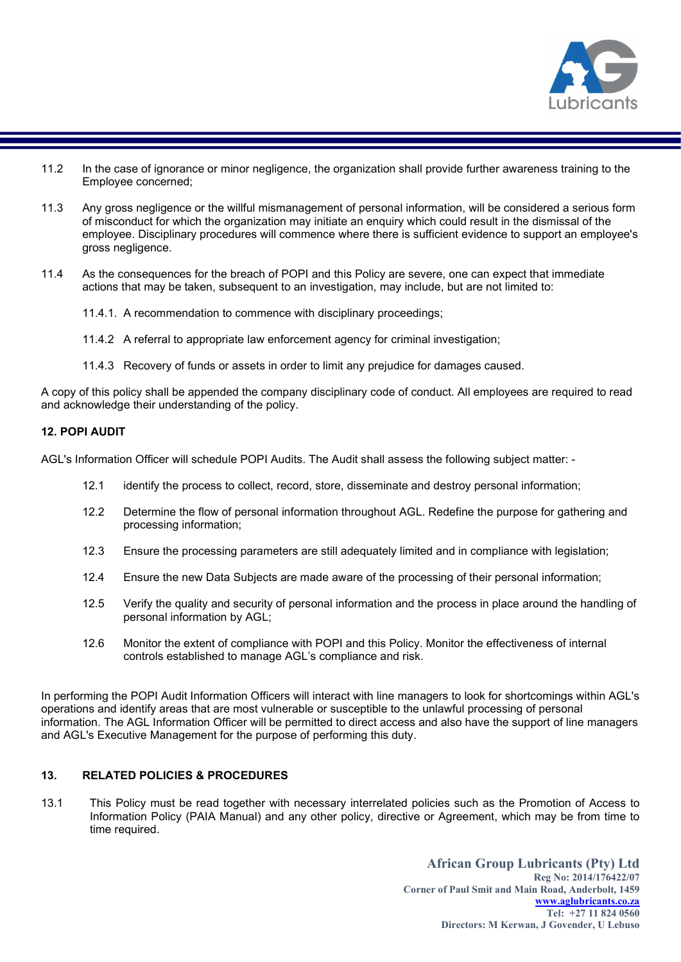

- 11.2 In the case of ignorance or minor negligence, the organization shall provide further awareness training to the Employee concerned;
- 11.3 Any gross negligence or the willful mismanagement of personal information, will be considered a serious form of misconduct for which the organization may initiate an enquiry which could result in the dismissal of the employee. Disciplinary procedures will commence where there is sufficient evidence to support an employee's gross negligence.
- 11.4 As the consequences for the breach of POPI and this Policy are severe, one can expect that immediate actions that may be taken, subsequent to an investigation, may include, but are not limited to:
	- 11.4.1. A recommendation to commence with disciplinary proceedings;
	- 11.4.2 A referral to appropriate law enforcement agency for criminal investigation;
	- 11.4.3 Recovery of funds or assets in order to limit any prejudice for damages caused.

A copy of this policy shall be appended the company disciplinary code of conduct. All employees are required to read and acknowledge their understanding of the policy.

# 12. POPI AUDIT

AGL's Information Officer will schedule POPI Audits. The Audit shall assess the following subject matter: -

- 12.1 identify the process to collect, record, store, disseminate and destroy personal information;
- 12.2 Determine the flow of personal information throughout AGL. Redefine the purpose for gathering and processing information;
- 12.3 Ensure the processing parameters are still adequately limited and in compliance with legislation;
- 12.4 Ensure the new Data Subjects are made aware of the processing of their personal information;
- 12.5 Verify the quality and security of personal information and the process in place around the handling of personal information by AGL;
- 12.6 Monitor the extent of compliance with POPI and this Policy. Monitor the effectiveness of internal controls established to manage AGL's compliance and risk.

In performing the POPI Audit Information Officers will interact with line managers to look for shortcomings within AGL's operations and identify areas that are most vulnerable or susceptible to the unlawful processing of personal information. The AGL Information Officer will be permitted to direct access and also have the support of line managers and AGL's Executive Management for the purpose of performing this duty.

# 13. RELATED POLICIES & PROCEDURES

13.1 This Policy must be read together with necessary interrelated policies such as the Promotion of Access to Information Policy (PAIA Manual) and any other policy, directive or Agreement, which may be from time to time required.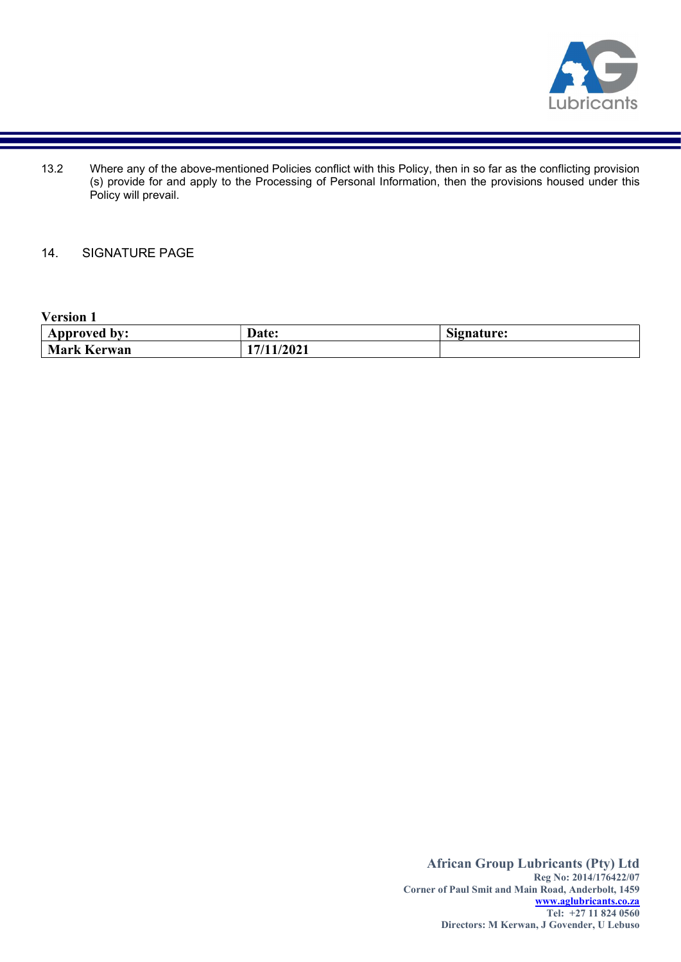

13.2 Where any of the above-mentioned Policies conflict with this Policy, then in so far as the conflicting provision (s) provide for and apply to the Processing of Personal Information, then the provisions housed under this Policy will prevail.

# 14. SIGNATURE PAGE

# Version 1

| Approved<br>bv:    | Date: | $\sim$<br>Signature: |
|--------------------|-------|----------------------|
| <b>Mark Kerwan</b> | /2021 |                      |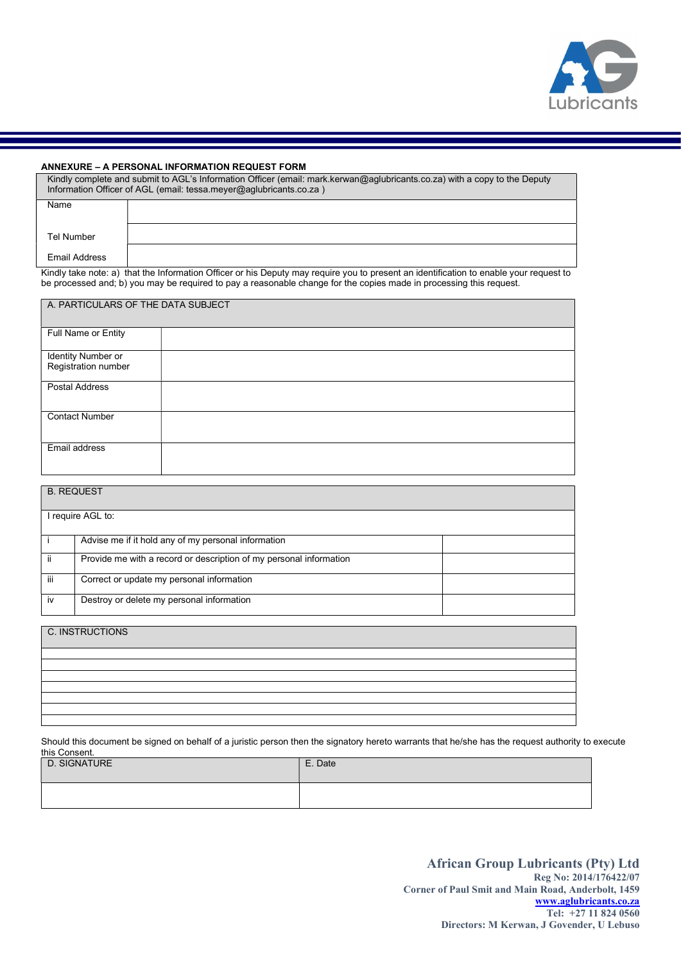

#### ANNEXURE – A PERSONAL INFORMATION REQUEST FORM

| Kindly complete and submit to AGL's Information Officer (email: mark.kerwan@aqlubricants.co.za) with a copy to the Deputy<br>Information Officer of AGL (email: tessa.meyer@aqlubricants.co.za) |  |  |
|-------------------------------------------------------------------------------------------------------------------------------------------------------------------------------------------------|--|--|
| Name                                                                                                                                                                                            |  |  |
| Tel Number                                                                                                                                                                                      |  |  |
| Email Address                                                                                                                                                                                   |  |  |
|                                                                                                                                                                                                 |  |  |

Kindly take note: a) that the Information Officer or his Deputy may require you to present an identification to enable your request to be processed and; b) you may be required to pay a reasonable change for the copies made in processing this request.

| A. PARTICULARS OF THE DATA SUBJECT        |  |  |
|-------------------------------------------|--|--|
| Full Name or Entity                       |  |  |
|                                           |  |  |
| Identity Number or<br>Registration number |  |  |
| Postal Address                            |  |  |
| <b>Contact Number</b>                     |  |  |
| Email address                             |  |  |

| <b>B. REQUEST</b> |                                                                    |  |
|-------------------|--------------------------------------------------------------------|--|
|                   | require AGL to:                                                    |  |
|                   | Advise me if it hold any of my personal information                |  |
| jj.               | Provide me with a record or description of my personal information |  |
| iii               | Correct or update my personal information                          |  |
| iv                | Destroy or delete my personal information                          |  |

C. INSTRUCTIONS

Should this document be signed on behalf of a juristic person then the signatory hereto warrants that he/she has the request authority to execute this Consent.

| D. SIGNATURE | E. Date |
|--------------|---------|
|              |         |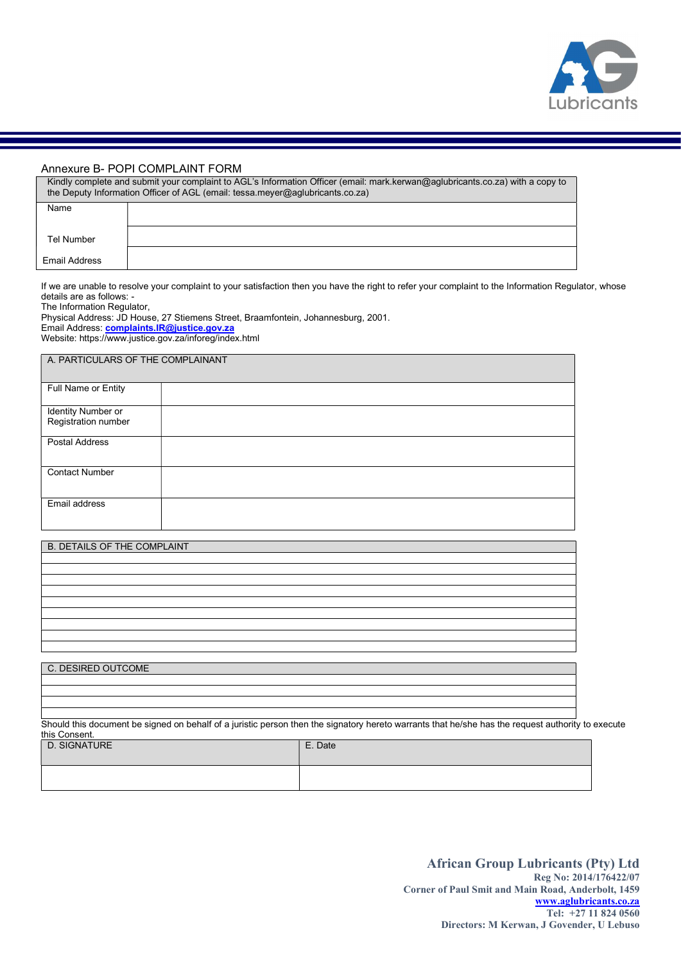

# Annexure B- POPI COMPLAINT FORM

| Kindly complete and submit your complaint to AGL's Information Officer (email: mark.kerwan@aglubricants.co.za) with a copy to<br>the Deputy Information Officer of AGL (email: tessa.meyer@aglubricants.co.za) |  |  |
|----------------------------------------------------------------------------------------------------------------------------------------------------------------------------------------------------------------|--|--|
| Name                                                                                                                                                                                                           |  |  |
| Tel Number                                                                                                                                                                                                     |  |  |
| <b>Email Address</b>                                                                                                                                                                                           |  |  |

If we are unable to resolve your complaint to your satisfaction then you have the right to refer your complaint to the Information Regulator, whose details are as follows: -

The Information Regulator,

Physical Address: JD House, 27 Stiemens Street, Braamfontein, Johannesburg, 2001. Email Address: **complaints.IR@justice.gov.za** Website: https://www.justice.gov.za/inforeg/index.html

| A. PARTICULARS OF THE COMPLAINANT |  |  |
|-----------------------------------|--|--|
| Full Name or Entity               |  |  |
| Identity Number or                |  |  |
| Registration number               |  |  |
| <b>Postal Address</b>             |  |  |
| <b>Contact Number</b>             |  |  |
| Email address                     |  |  |

| <b>B. DETAILS OF THE COMPLAINT</b> |  |
|------------------------------------|--|
|                                    |  |
|                                    |  |
|                                    |  |
|                                    |  |
|                                    |  |
|                                    |  |
|                                    |  |
|                                    |  |
|                                    |  |
|                                    |  |
| C. DESIRED OUTCOME                 |  |
|                                    |  |
|                                    |  |

Should this document be signed on behalf of a juristic person then the signatory hereto warrants that he/she has the request authority to execute this Consent. D. SIGNATURE **E.** Date